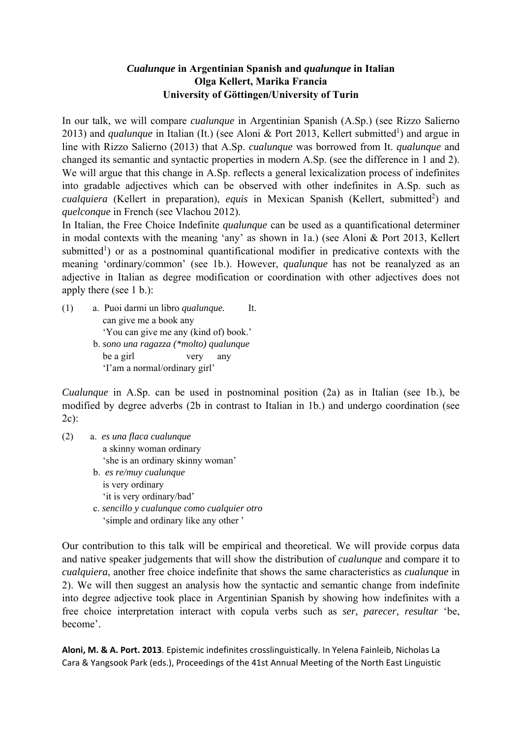## *Cualunque* **in Argentinian Spanish and** *qualunque* **in Italian Olga Kellert, Marika Francia University of Göttingen/University of Turin**

In our talk, we will compare *cualunque* in Argentinian Spanish (A.Sp.) (see Rizzo Salierno 2013) and *qualunque* in Italian (It.) (see Aloni & Port 2013, Kellert submitted<sup>1</sup>) and argue in line with Rizzo Salierno (2013) that A.Sp. *cualunque* was borrowed from It. *qualunque* and changed its semantic and syntactic properties in modern A.Sp. (see the difference in 1 and 2). We will argue that this change in A.Sp. reflects a general lexicalization process of indefinites into gradable adjectives which can be observed with other indefinites in A.Sp. such as cualquiera (Kellert in preparation), equis in Mexican Spanish (Kellert, submitted<sup>2</sup>) and *quelconque* in French (see Vlachou 2012).

In Italian, the Free Choice Indefinite *qualunque* can be used as a quantificational determiner in modal contexts with the meaning 'any' as shown in 1a.) (see Aloni & Port 2013, Kellert submitted<sup>1</sup>) or as a postnominal quantificational modifier in predicative contexts with the meaning 'ordinary/common' (see 1b.). However, *qualunque* has not be reanalyzed as an adjective in Italian as degree modification or coordination with other adjectives does not apply there (see 1 b.):

(1) a. Puoi darmi un libro *qualunque.* It. can give me a book any 'You can give me any (kind of) book.' b. *sono una ragazza (\*molto) qualunque*  be a girl very any 'I'am a normal/ordinary girl'

*Cualunque* in A.Sp. can be used in postnominal position (2a) as in Italian (see 1b.), be modified by degree adverbs (2b in contrast to Italian in 1b.) and undergo coordination (see  $2c$ :

(2) a. *es una flaca cualunque*  a skinny woman ordinary 'she is an ordinary skinny woman' b. *es re/muy cualunque*  is very ordinary 'it is very ordinary/bad' c. *sencillo y cualunque como cualquier otro* 'simple and ordinary like any other '

Our contribution to this talk will be empirical and theoretical. We will provide corpus data and native speaker judgements that will show the distribution of *cualunque* and compare it to *cualquiera*, another free choice indefinite that shows the same characteristics as *cualunque* in 2). We will then suggest an analysis how the syntactic and semantic change from indefinite into degree adjective took place in Argentinian Spanish by showing how indefinites with a free choice interpretation interact with copula verbs such as *ser, parecer, resultar* 'be, become'.

**Aloni, M. & A. Port. 2013**. Epistemic indefinites crosslinguistically. In Yelena Fainleib, Nicholas La Cara & Yangsook Park (eds.), Proceedings of the 41st Annual Meeting of the North East Linguistic